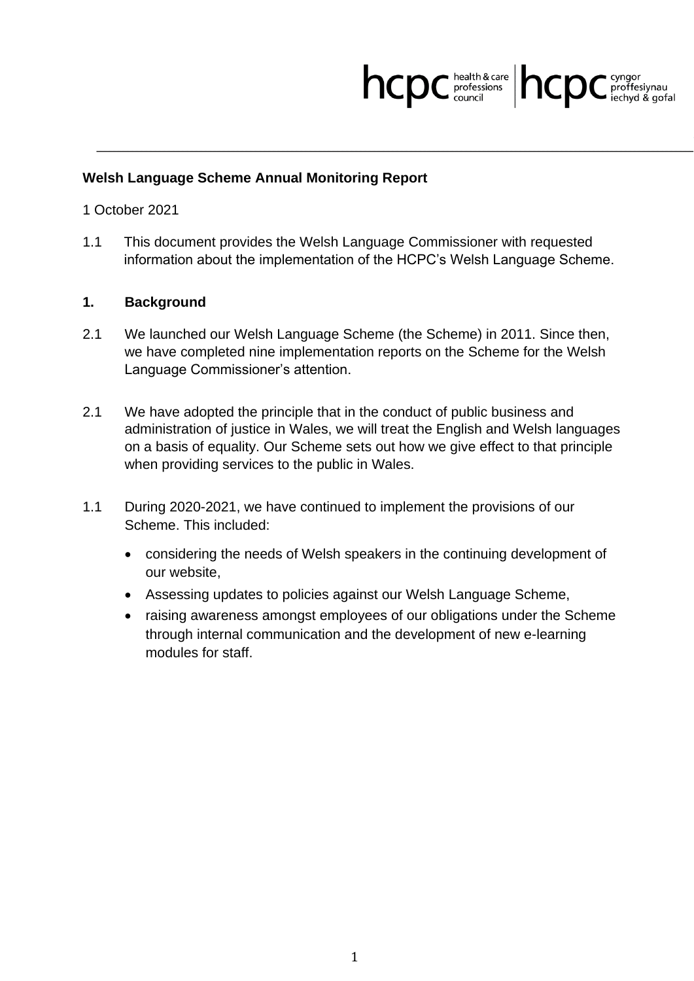## hcpc **health & care** hcpc cyngor

## **Welsh Language Scheme Annual Monitoring Report**

## 1 October 2021

1.1 This document provides the Welsh Language Commissioner with requested information about the implementation of the HCPC's Welsh Language Scheme.

## **1. Background**

- 2.1 We launched our Welsh Language Scheme (the Scheme) in 2011. Since then, we have completed nine implementation reports on the Scheme for the Welsh Language Commissioner's attention.
- 2.1 We have adopted the principle that in the conduct of public business and administration of justice in Wales, we will treat the English and Welsh languages on a basis of equality. Our Scheme sets out how we give effect to that principle when providing services to the public in Wales.
- 1.1 During 2020-2021, we have continued to implement the provisions of our Scheme. This included:
	- considering the needs of Welsh speakers in the continuing development of our website,
	- Assessing updates to policies against our Welsh Language Scheme,
	- raising awareness amongst employees of our obligations under the Scheme through internal communication and the development of new e-learning modules for staff.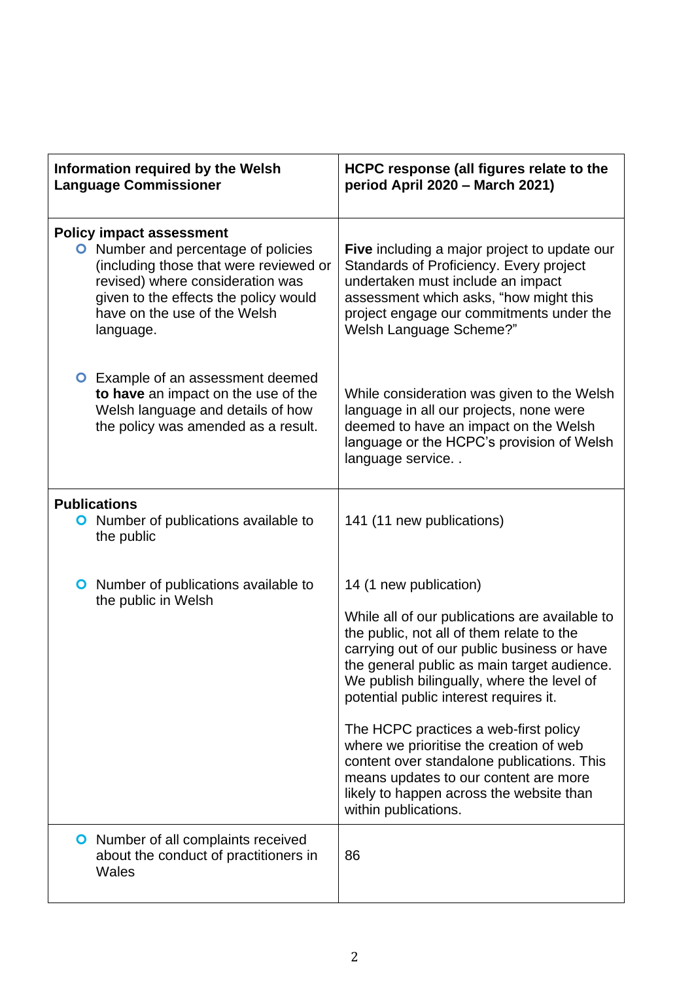| Information required by the Welsh<br><b>Language Commissioner</b>                                                                                                                                                                                 | HCPC response (all figures relate to the<br>period April 2020 - March 2021)                                                                                                                                                                                                                                                                                                                                                                                                                                                                                |
|---------------------------------------------------------------------------------------------------------------------------------------------------------------------------------------------------------------------------------------------------|------------------------------------------------------------------------------------------------------------------------------------------------------------------------------------------------------------------------------------------------------------------------------------------------------------------------------------------------------------------------------------------------------------------------------------------------------------------------------------------------------------------------------------------------------------|
| <b>Policy impact assessment</b><br><b>O</b> Number and percentage of policies<br>(including those that were reviewed or<br>revised) where consideration was<br>given to the effects the policy would<br>have on the use of the Welsh<br>language. | Five including a major project to update our<br>Standards of Proficiency. Every project<br>undertaken must include an impact<br>assessment which asks, "how might this<br>project engage our commitments under the<br>Welsh Language Scheme?"                                                                                                                                                                                                                                                                                                              |
| <b>O</b> Example of an assessment deemed<br>to have an impact on the use of the<br>Welsh language and details of how<br>the policy was amended as a result.                                                                                       | While consideration was given to the Welsh<br>language in all our projects, none were<br>deemed to have an impact on the Welsh<br>language or the HCPC's provision of Welsh<br>language service                                                                                                                                                                                                                                                                                                                                                            |
| <b>Publications</b><br><b>O</b> Number of publications available to<br>the public                                                                                                                                                                 | 141 (11 new publications)                                                                                                                                                                                                                                                                                                                                                                                                                                                                                                                                  |
| <b>O</b> Number of publications available to<br>the public in Welsh                                                                                                                                                                               | 14 (1 new publication)<br>While all of our publications are available to<br>the public, not all of them relate to the<br>carrying out of our public business or have<br>the general public as main target audience.<br>We publish bilingually, where the level of<br>potential public interest requires it.<br>The HCPC practices a web-first policy<br>where we prioritise the creation of web<br>content over standalone publications. This<br>means updates to our content are more<br>likely to happen across the website than<br>within publications. |
| <b>O</b> Number of all complaints received<br>about the conduct of practitioners in<br>Wales                                                                                                                                                      | 86                                                                                                                                                                                                                                                                                                                                                                                                                                                                                                                                                         |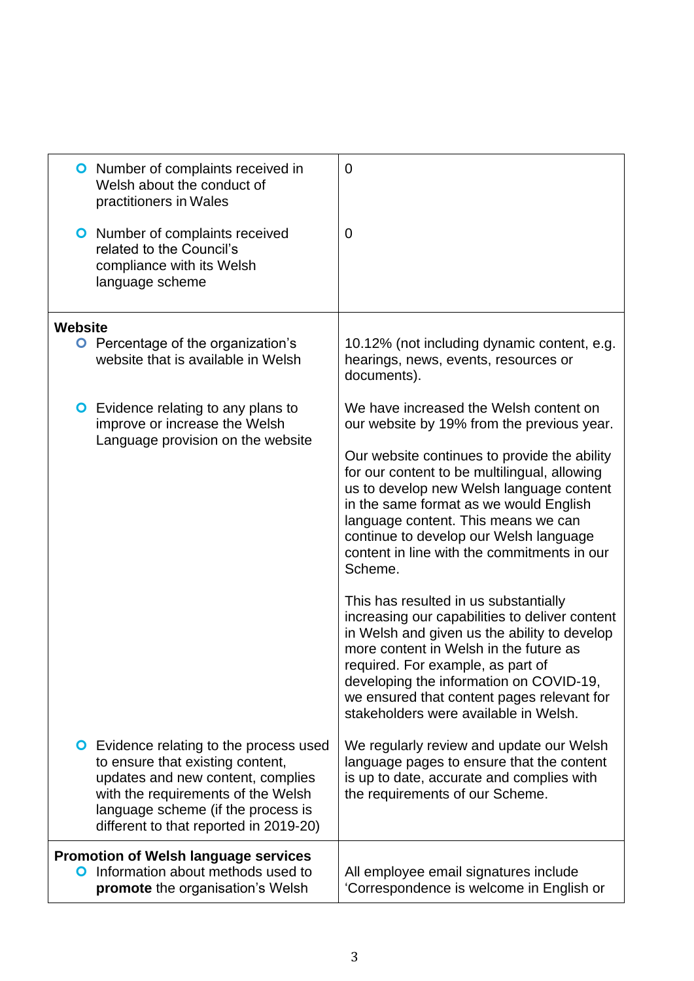| <b>O</b> Number of complaints received in<br>Welsh about the conduct of<br>practitioners in Wales                                                                                                                                             | 0                                                                                                                                                                                                                                                                                                                                                        |
|-----------------------------------------------------------------------------------------------------------------------------------------------------------------------------------------------------------------------------------------------|----------------------------------------------------------------------------------------------------------------------------------------------------------------------------------------------------------------------------------------------------------------------------------------------------------------------------------------------------------|
| <b>O</b> Number of complaints received<br>related to the Council's<br>compliance with its Welsh<br>language scheme                                                                                                                            | 0                                                                                                                                                                                                                                                                                                                                                        |
| <b>Website</b>                                                                                                                                                                                                                                |                                                                                                                                                                                                                                                                                                                                                          |
| <b>O</b> Percentage of the organization's<br>website that is available in Welsh                                                                                                                                                               | 10.12% (not including dynamic content, e.g.<br>hearings, news, events, resources or<br>documents).                                                                                                                                                                                                                                                       |
| <b>O</b> Evidence relating to any plans to<br>improve or increase the Welsh<br>Language provision on the website                                                                                                                              | We have increased the Welsh content on<br>our website by 19% from the previous year.                                                                                                                                                                                                                                                                     |
|                                                                                                                                                                                                                                               | Our website continues to provide the ability<br>for our content to be multilingual, allowing<br>us to develop new Welsh language content<br>in the same format as we would English<br>language content. This means we can<br>continue to develop our Welsh language<br>content in line with the commitments in our<br>Scheme.                            |
|                                                                                                                                                                                                                                               | This has resulted in us substantially<br>increasing our capabilities to deliver content<br>in Welsh and given us the ability to develop<br>more content in Welsh in the future as<br>required. For example, as part of<br>developing the information on COVID-19,<br>we ensured that content pages relevant for<br>stakeholders were available in Welsh. |
| <b>O</b> Evidence relating to the process used<br>to ensure that existing content,<br>updates and new content, complies<br>with the requirements of the Welsh<br>language scheme (if the process is<br>different to that reported in 2019-20) | We regularly review and update our Welsh<br>language pages to ensure that the content<br>is up to date, accurate and complies with<br>the requirements of our Scheme.                                                                                                                                                                                    |
| <b>Promotion of Welsh language services</b><br>Information about methods used to<br>O<br>promote the organisation's Welsh                                                                                                                     | All employee email signatures include<br>'Correspondence is welcome in English or                                                                                                                                                                                                                                                                        |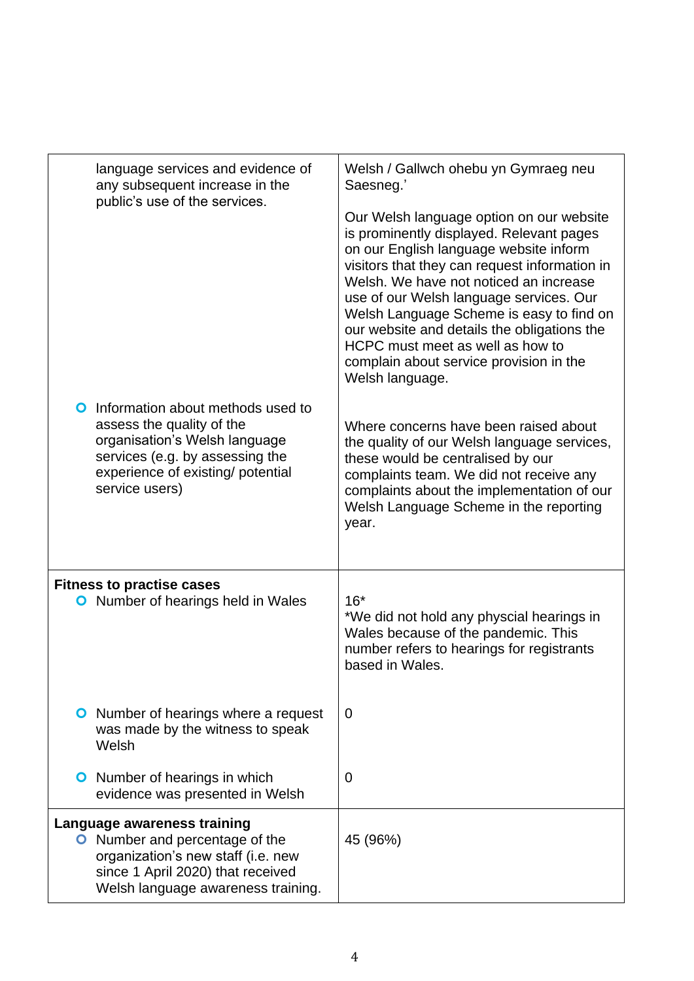| language services and evidence of<br>any subsequent increase in the                                                                                                                            | Welsh / Gallwch ohebu yn Gymraeg neu<br>Saesneg.'                                                                                                                                                                                                                                                                                                                                                                                                                 |
|------------------------------------------------------------------------------------------------------------------------------------------------------------------------------------------------|-------------------------------------------------------------------------------------------------------------------------------------------------------------------------------------------------------------------------------------------------------------------------------------------------------------------------------------------------------------------------------------------------------------------------------------------------------------------|
| public's use of the services.                                                                                                                                                                  | Our Welsh language option on our website<br>is prominently displayed. Relevant pages<br>on our English language website inform<br>visitors that they can request information in<br>Welsh. We have not noticed an increase<br>use of our Welsh language services. Our<br>Welsh Language Scheme is easy to find on<br>our website and details the obligations the<br>HCPC must meet as well as how to<br>complain about service provision in the<br>Welsh language. |
| Information about methods used to<br>O<br>assess the quality of the<br>organisation's Welsh language<br>services (e.g. by assessing the<br>experience of existing/ potential<br>service users) | Where concerns have been raised about<br>the quality of our Welsh language services,<br>these would be centralised by our<br>complaints team. We did not receive any<br>complaints about the implementation of our<br>Welsh Language Scheme in the reporting<br>year.                                                                                                                                                                                             |
| <b>Fitness to practise cases</b><br>Number of hearings held in Wales<br>O                                                                                                                      | $16*$<br>*We did not hold any physcial hearings in<br>Wales because of the pandemic. This<br>number refers to hearings for registrants<br>based in Wales.                                                                                                                                                                                                                                                                                                         |
| <b>O</b> Number of hearings where a request<br>was made by the witness to speak<br>Welsh                                                                                                       | 0                                                                                                                                                                                                                                                                                                                                                                                                                                                                 |
| <b>O</b> Number of hearings in which<br>evidence was presented in Welsh                                                                                                                        | $\overline{0}$                                                                                                                                                                                                                                                                                                                                                                                                                                                    |
| Language awareness training<br>O Number and percentage of the<br>organization's new staff (i.e. new<br>since 1 April 2020) that received<br>Welsh language awareness training.                 | 45 (96%)                                                                                                                                                                                                                                                                                                                                                                                                                                                          |